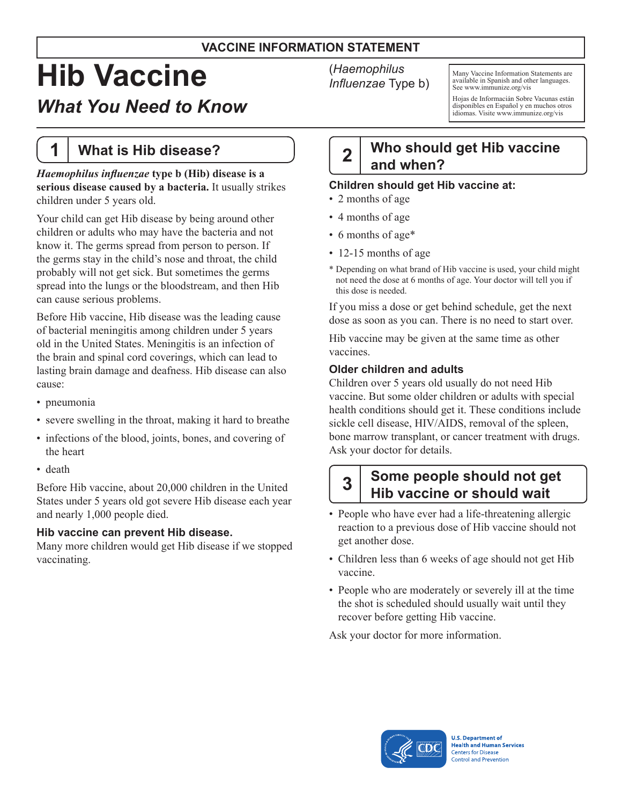#### **VACCINE INFORMATION STATEMENT**

# **Hib Vaccine**

# *What You Need to Know*

# **1 What is Hib disease?**

*Haemophilus influenzae* **type b (Hib) disease is a serious disease caused by a bacteria.** It usually strikes children under 5 years old.

Your child can get Hib disease by being around other children or adults who may have the bacteria and not know it. The germs spread from person to person. If the germs stay in the child's nose and throat, the child probably will not get sick. But sometimes the germs spread into the lungs or the bloodstream, and then Hib can cause serious problems.

Before Hib vaccine, Hib disease was the leading cause of bacterial meningitis among children under 5 years old in the United States. Meningitis is an infection of the brain and spinal cord coverings, which can lead to lasting brain damage and deafness. Hib disease can also cause:

- pneumonia
- severe swelling in the throat, making it hard to breathe
- infections of the blood, joints, bones, and covering of the heart
- death

Before Hib vaccine, about 20,000 children in the United States under 5 years old got severe Hib disease each year and nearly 1,000 people died.

#### **Hib vaccine can prevent Hib disease.**

Many more children would get Hib disease if we stopped vaccinating.

(*Haemophilus Influenzae* Type b)

Many Vaccine Information Statements are available in Spanish and other languages. See [www.immunize.org/vis](http://www.immunize.org/vis)

Hojas de Informacián Sobre Vacunas están disponibles en Español y en muchos otros idiomas. Visite [www.immunize.org/vis](http://www.immunize.org/vis)

# **2 Who should get Hib vaccine and when?**

#### **Children should get Hib vaccine at:**

- 2 months of age
- 4 months of age
- 6 months of age\*
- 12-15 months of age
- \* Depending on what brand of Hib vaccine is used, your child might not need the dose at 6 months of age. Your doctor will tell you if this dose is needed.

If you miss a dose or get behind schedule, get the next dose as soon as you can. There is no need to start over.

Hib vaccine may be given at the same time as other vaccines.

#### **Older children and adults**

Children over 5 years old usually do not need Hib vaccine. But some older children or adults with special health conditions should get it. These conditions include sickle cell disease, HIV/AIDS, removal of the spleen, bone marrow transplant, or cancer treatment with drugs. Ask your doctor for details.

## **3 Some people should not get Hib vaccine or should wait**

- People who have ever had a life-threatening allergic reaction to a previous dose of Hib vaccine should not get another dose.
- Children less than 6 weeks of age should not get Hib vaccine.
- People who are moderately or severely ill at the time the shot is scheduled should usually wait until they recover before getting Hib vaccine.

Ask your doctor for more information.